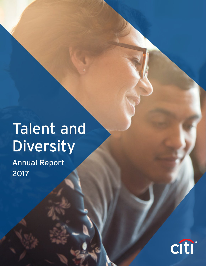# Talent and Diversity

Annual Report 2017

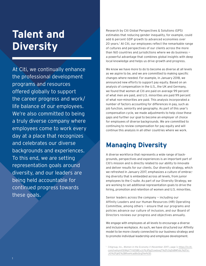# **Talent and Diversity**

At Citi, we continually enhance the professional development programs and resources offered globally to support the career progress and work/ life balance of our employees. We're also committed to being a truly diverse company where employees come to work every day at a place that recognizes and celebrates our diverse backgrounds and experiences. To this end, we are setting representation goals around diversity, and our leaders are being held accountable for continued progress towards these goals.

Research by Citi Global Perspectives & Solutions (GPS) estimates that reducing gender inequality, for example, could add 6 percent GDP growth to advanced economies over 20 years.1 At Citi, our employees reflect the remarkable range of cultures and perspectives of our clients across the more than 160 countries and jurisdictions where we do business a powerful advantage that combines global insights with deep local knowledge and helps us drive growth and progress.

We know we have more to do to become as diverse at all levels as we aspire to be, and we are committed to making specific changes where needed. For example, in January 2018, we announced new efforts to support pay equity. Based on an analysis of compensation in the U.S., the UK and Germany, we found that women at Citi are paid on average 99 percent of what men are paid, and U.S. minorities are paid 99 percent of what non-minorities are paid. This analysis incorporated a number of factors accounting for differences in pay, such as job function, seniority and geography. As part of this year's compensation cycle, we made adjustments to help close these gaps and further our goal to become an employer of choice for employees of diverse backgrounds. We are committed to continuing to review compensation for pay equity and will continue this analysis in all other countries where we work.

## **Managing Diversity**

A diverse workforce that represents a wide range of backgrounds, perspectives and experiences is an important part of Citi's mission and is directly related to our ability to innovate and deliver results for our clients. Our diversity strategy, which we refreshed in January 2017, emphasizes a culture of embracing diversity that is embedded across all levels, from junior employees to the C-suite. As part of our Diversity Strategy, we are working to set additional representation goals to drive the hiring, promotion and retention of women and U.S. minorities.

Senior leaders across the company — including our Affinity Leaders and our Human Resources (HR) Operating Committee, among others — ensure that our programs and policies advance our culture of inclusion, and our Board of Directors reviews our progress and objectives annually.

We engage with employees at all levels to encourage a diverse and inclusive workplace. As such, we have structured our Affinity model to be more closely connected to our business strategy and to promote individual leadership and employee development.

<sup>1</sup> Citigroup, Inc., *Women in the Economy II* (November 2017), page 3, [https://ir.citi.](https://ir.citi.com/rxehymXStWqV7Y6S58ExJLPdJPjqZicwdoxqT%2Fc0qDsBMFxbL%2FzcJiG%2FgKE%2BRxwHcad8oQrgD1w%3D) [com/rxehymXStWqV7Y6S58ExJLPdJPjqZicwdoxqT%2Fc0qDsBMFxbL%2Fzc-](https://ir.citi.com/rxehymXStWqV7Y6S58ExJLPdJPjqZicwdoxqT%2Fc0qDsBMFxbL%2FzcJiG%2FgKE%2BRxwHcad8oQrgD1w%3D)[JiG%2FgKE%2BRxwHcad8oQrgD1w%3D.](https://ir.citi.com/rxehymXStWqV7Y6S58ExJLPdJPjqZicwdoxqT%2Fc0qDsBMFxbL%2FzcJiG%2FgKE%2BRxwHcad8oQrgD1w%3D)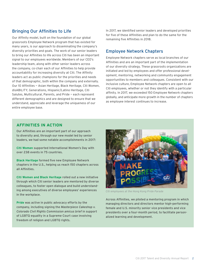## Bringing Our Affinities to Life

Our Affinity model, built on the foundation of our global grassroots Employee Network program that has existed for many years, is our approach to disseminating the company's diversity priorities and goals. The work of our senior leaders to bring our Affinities to life across Citi has been an important signal to our employees worldwide. Members of our CEO's leadership team, along with other senior leaders across the company, co-chair each of our Affinities to help provide accountability for increasing diversity at Citi. The Affinity leaders act as public champions for the priorities and needs of that demographic, both within the company and externally. Our 10 Affinities — Asian Heritage, Black Heritage, Citi Women, disABILITY, Generations, Hispanic/Latino Heritage, Citi Salutes, Multicultural, Parents, and Pride — each represent different demographics and are designed to ensure that we understand, appreciate and leverage the uniqueness of our entire employee base.

In 2017, we identified senior leaders and developed priorities for five of these Affinities and plan to do the same for the remaining five Affinities in 2018.

## Employee Network Chapters

Employee Network chapters serve as local branches of our Affinities and are an important part of the implementation of our diversity strategy. These grassroots organizations are initiated and led by employees and offer professional development, mentoring, networking and community engagement opportunities to members and colleagues. Consistent with our inclusive culture, Employee Network chapters are open to all Citi employees, whether or not they identify with a particular affinity. In 2017, we exceeded 150 Employee Network chapters globally, and anticipate more growth in the number of chapters as employee interest continues to increase.

## **AFFINITIES IN ACTION**

Our Affinities are an important part of our approach to diversity and, through our new model led by senior leaders, we had some notable accomplishments in 2017:

**Citi Women** supported International Women's Day with over 238 events in 75 countries.

**Black Heritage** formed five new Employee Network chapters in the U.S., helping us reach 150 chapters across all Affinities.

**Citi Women and Black Heritage** rolled out a new initiative through which Citi senior leaders are mentored by diverse colleagues, to foster open dialogue and build understanding among executives of diverse employees' experiences in the workplace.

**Pride** was active in public advocacy efforts by the company, including signing the *Masterpiece Cakeshop v. Colorado Civil Rights Commission amicus brief* in support of LGBTQ equality in a Supreme Court case involving freedom of religion and LGBTQ rights.



*Citi employees at the Hong Kong Pride Parade*

Across Affinities, we piloted a mentoring program in which managing directors and directors mentor high-performing female and U.S. minority senior vice presidents and vice presidents over a four-month period, to facilitate personalized learning and development.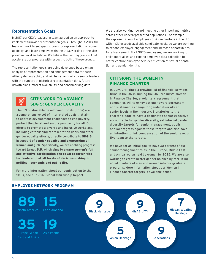## Representation Goals

In 2017, our CEO's leadership team agreed on an approach to implement firmwide representation goals. Throughout 2018, the team will work to set specific goals for representation of women (globally) and black employees (in the U.S.), working at the vice president level and above. We believe that setting goals will help accelerate our progress with respect to both of these groups.

The representation goals are being developed based on an analysis of representation and engagement data for each Affinity demographic, and will be set annually by senior leaders with the support of historical representation data, future growth plans, market availability and benchmarking data.

## **CITI'S WORK TO ADVANCE SDG 5: GENDER EQUALITY**

The UN Sustainable Development Goals (SDGs) are a comprehensive set of interrelated goals that aim to address development challenges to end poverty, protect the planet and ensure prosperity for all. Our efforts to promote a diverse and inclusive workplace, including establishing representation goals and other gender equality efforts, directly contribute to SDG 5 in support of gender equality and empowering all women and girls. Specifically, we are enabling progress toward target 5.5, which aims to ensure women's full and effective participation and equal opportunities for leadership at all levels of decision-making in political, economic and public life.

For more information about our contribution to the SDGs, see our [2017 Global Citizenship Report.](http://www.citigroup.com/citi/about/citizenship/)

We are also working toward meeting other important metrics across other underrepresented populations. For example, the representation of employees of Asian heritage in the U.S. within Citi exceeds available candidate levels, so we are working to expand employee engagement and increase opportunities for advancement. For LGBTQ employees, we are working to enlist more allies and expand employee data collection to better capture employee self-identification of sexual orientation and gender identity.

## **CITI SIGNS THE WOMEN IN FINANCE CHARTER**

In July, Citi joined a growing list of financial services firms in the UK in signing the UK Treasury's Women in Finance Charter, a voluntary agreement that companies will take key actions toward permanent and sustainable change for gender diversity at senior levels in the industry. Signatories to the charter pledge to have a designated senior executive accountable for gender diversity, set internal gender diversity targets for senior management, publish annual progress against those targets and also have an intention to link compensation of the senior executive team to the targets.

We have set an initial goal to have 30 percent of our senior management roles in the Europe, Middle East and Africa region held by women by 2025. We are also working to create better gender balance by recruiting equal numbers of men and women into our graduate programs. More information about our Women in Finance Charter targets is available [online.](http://www.citigroup.com/citi/about/countries-and-jurisdictions/data/emea_diversity.pdf)



## **EMPLOYEE NETWORK PROGRAM**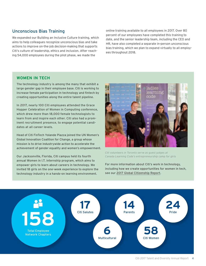## Unconscious Bias Training

We expanded our Building an Inclusive Culture training, which aims to help colleagues recognize unconscious bias and take actions to improve on-the-job decision-making that supports Citi's culture of leadership, ethics and inclusion. After reaching 54,000 employees during the pilot phase, we made the

online training available to all employees in 2017. Over 80 percent of our employees have completed this training to date, and the senior leadership team, including the CEO and HR, have also completed a separate in-person unconscious bias training, which we plan to expand virtually to all employees throughout 2018.

### **WOMEN IN TECH**

The technology industry is among the many that exhibit a large gender gap in their employee base. Citi is working to increase female participation in technology and fintech by creating opportunities along the entire talent pipeline.

In 2017, nearly 100 Citi employees attended the Grace Hopper Celebration of Women in Computing conference, which drew more than 18,000 female technologists to learn from and inspire each other. Citi also had a prominent recruitment presence, to engage potential candidates at all career levels.

Head of Citi FinTech Yolande Piazza joined the UN Women's Global Innovation Coalition for Change, a group whose mission is to drive industrywide action to accelerate the achievement of gender equality and women's empowerment.

Our Jacksonville, Florida, Citi campus held its fourth annual Women in I.T. internship program, which aims to empower girls to learn about careers in technology. We invited 18 girls on the one-week experience to explore the technology industry in a hands-on learning environment.



*Citi volunteers in Toronto serve as guest judges at Canada Learning Code's entrepreneurship camp for girls* 

For more information about Citi's work in technology, including how we create opportunities for women in tech, see our [2017 Global Citizenship Report.](http://www.citigroup.com/citi/about/citizenship/)

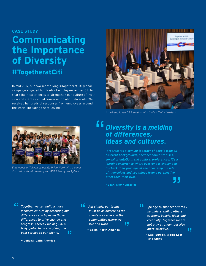### **CASE STUDY**

# **Communicating the Importance of Diversity #TogetheratCiti**

In mid-2017, our two-month-long #TogetheratCiti global campaign engaged hundreds of employees across Citi to share their experiences to strengthen our culture of inclusion and start a candid conversation about diversity. We received hundreds of responses from employees around the world, including the following:



*An all-employee Q&A session with Citi's Affinity Leaders*



*Employees in Taiwan celebrate Pride Week with a panel discussion about creating an LGBT-friendly workplace*

# *Diversity is a melding of differences, ideas and cultures.*

*It represents a coming together of people from all different backgrounds, socioeconomic statuses, sexual orientations and political preferences. It's a learning experience where everyone is challenged to check their privilege at the door, step outside of themselves and see things from a perspective other than their own.*

**– Leah, North America**

"

*Together we can build a more inclusive culture by accepting our differences and by using those differences to drive change and progress, thereby making Citi a truly global bank and giving the best service to our clients.* 

**— Juliana, Latin America**

" *Put simply, our teams must be as diverse as the clients we serve and the communities where we*  11 *live and work.*

**— Gavin, North America**

" *I pledge to support diversity by understanding others' customs, beliefs, ideas and creativity. Together we are not only stronger, but also more effective.*  77

**— Ewa, Europe, Middle East and Africa**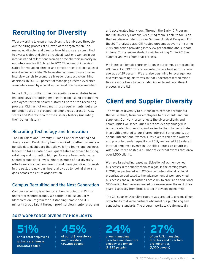# **Recruiting for Diversity**

We are working to ensure that diversity is embraced throughout the hiring process at all levels of the organization. For managing director and director level hires, we are committed to diverse slates and aim to include at least one woman in our interviews and at least one woman or racial/ethnic minority in our interviews for U.S. hires. In 2017, 71 percent of interview slates for managing director and director roles included at least one diverse candidate. We have also continued to use diverse interview panels to promote a broader perspective on hiring decisions. In 2017, 72 percent of managing director level hires were interviewed by a panel with at least one diverse member.

In the U.S., to further drive pay equity, several states have enacted laws prohibiting employers from asking prospective employees for their salary history as part of the recruiting process. Citi has not only met those requirements, but also no longer asks any prospective employees across all U.S. states and Puerto Rico for their salary history (including their bonus history).

## Recruiting Technology and Innovation

The Citi Talent and Diversity, Human Capital Reporting and Analytics and Productivity teams worked together to create a holistic data dashboard that allows hiring teams and business leaders to take a data-driven, quantitative approach to hiring, retaining and promoting high performers from underrepresented groups at all levels. Whereas much of our diversity efforts were focused on director and managing director levels in the past, the new dashboard allows us to look at diversity gaps across the entire organization.

## Campus Recruiting and the Next Generation

Campus recruiting is an important entry point into Citi for underrepresented groups. We continue to use an Early Identification Program for outstanding female and U.S. minority group talent through pre-interview mentor programs and accelerated interviews. Through the Early ID Program, the Citi Diversity Campus Recruiting team is able to focus on the best diverse talent for our Summer Analyst Program. For the 2017 analyst class, Citi hosted on-campus events in spring 2016 and began providing interview preparation and support in June. Thirty-seven students will be joining Citi in 2018 as summer analysts from that process.

We increased female representation in our campus programs to 40 percent in 2017. This representation rate beat our four-year average of 29 percent. We are also beginning to leverage new diversity sourcing platforms so that underrepresented minorities are more likely to be included in our talent recruitment process in the U.S.

# **Client and Supplier Diversity**

The value of diversity to our business extends throughout the value chain, from our employees to our clients and our suppliers. Our workforce reflects the diverse clients and communities we serve. Our clients are deeply engaged in issues related to diversity, and we invite them to participate in activities related to our shared interest. For example, our annual International Women's Day events celebrate women and promote gender equality. In 2017, we hosted 238 related internal employee events in 100 cities across 75 countries. Additionally, we hosted a number of external events that drew over 1,500 clients.

We have targeted increased participation of women-owned businesses in the supply chain as a goal in the coming years. In 2017, we partnered with WEConnect International, a global organization dedicated to the advancement of women-owned businesses and a Citi partner since 2016, to procure an additional \$100 million from women-owned businesses over the next three years, especially from firms located in developing markets.

The Citi Supplier Diversity Program was created to give maximum opportunity to diverse partners who meet our purchasing and contractual standards. The program works to create mutually

## **2017 WORKFORCE DIVERSITY HIGHLIGHTS**

# **51%**

of our total employees globally are female (106,003 people)

# **45%**

of our U.S. workforce are minorities (30,250 people)

# **24%**

of our managing directors and directors globally are female (2,325 people)

# **27%**

of our U.S. managing directors and directors are minorities (1,330 people)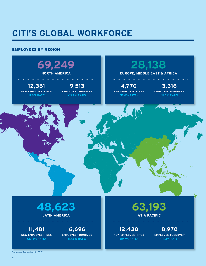# **CITI'S GLOBAL WORKFORCE**

## **EMPLOYEES BY REGION**



# **48,623**

**LATIN AMERICA**

**11,481 NEW EMPLOYEE HIRES (23.6% RATE)**

**6,696 EMPLOYEE TURNOVER (13.8% RATE)**

## **63,193 ASIA PACIFIC**

**12,430 NEW EMPLOYEE HIRES (19.7% RATE)**

**8,970 EMPLOYEE TURNOVER (14.2% RATE)**

Data as of December 31, 2017.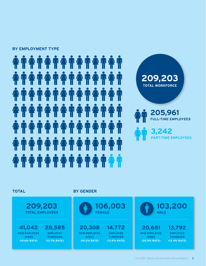### **BY EMPLOYMENT TYPE**

# 





**209,203 TOTAL EMPLOYEES**

**41,042 NEW EMPLOYEE HIRES (19.6% RATE) 28,585 EMPLOYEE TURNOVER (13.7% RATE)**

## **TOTAL BY GENDER**



**14,772 EMPLOYEE TURNOVER (13.9% RATE)**

**20,308 NEW EMPLOYEE HIRES (19.2% RATE)**

**103,200 MALE 20,681 13,792**

**NEW EMPLOYEE HIRES (20.0% RATE)**

**EMPLOYEE TURNOVER (13.4% RATE)**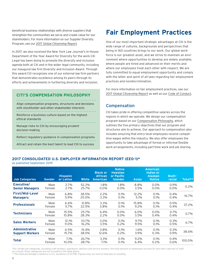beneficial business relationships with diverse suppliers that strengthen the communities we serve and create value for our shareholders. For more information on our Supplier Diversity Program, see our [2017 Global Citizenship Report](http://www.citigroup.com/citi/about/citizenship/).

In 2017, we also received the *New York Law Journal*'s In-House Department of the Year Award for Diversity for the work Citi Legal has been doing to promote the diversity and inclusion agenda both at Citi and in the wider legal community, including our inaugural law firm Diversity and Inclusion Award. Through this award Citi recognizes one of our external law firm partners that demonstrates excellence among its peers through its efforts and achievements in furthering diversity and inclusion.

## **CITI'S COMPENSATION PHILOSOPHY**

Align compensation programs, structures and decisions with stockholder and other stakeholder interests Reinforce a business culture based on the highest ethical standards Manage risks to Citi by encouraging prudent decision-making Reflect regulatory guidance in compensation programs Attract and retain the best talent to lead Citi to success

## **Fair Employment Practices**

One of our most important strategic advantages at Citi is the wide range of cultures, backgrounds and perspectives that being in 160 countries brings to our work. Our global workforce is our greatest asset, and we strive to maintain an environment where opportunities to develop are widely available, where people are hired and advanced on their merits and where our employees treat each other with respect. We are fully committed to equal employment opportunity and comply with the letter and spirit of all laws regarding fair employment practices and nondiscrimination.

For more information on fair employment practices, see our [2017 Global Citizenship Report](http://www.citigroup.com/citi/about/citizenship/) as well as our [Code of Conduct.](http://www.citigroup.com/citi/investor/data/codeconduct_en.pdf)

## Compensation

Citi takes pride in offering competitive salaries across the regions in which we operate. We design our compensation program based on our [Compensation Philosophy,](http://www.citigroup.com/citi/investor/data/comp_phil_policy.pdf) which outlines the five primary objectives that our program and structures aim to achieve. Our approach to compensation also includes ensuring that entry-level employees receive competitive wages within the industry. We also offer employees the opportunity to take advantage of formal or informal flexible work arrangements, including part-time work and job sharing.

## **2017 CONSOLIDATED U.S. EMPLOYER INFORMATION REPORT (EEO-1)\***

as published September 2019

| Job Categories                                  | Gender         | <b>Hispanic</b><br>or Latino | <b>White</b>   | <b>Black or</b><br><b>African</b><br><b>American</b> | <b>Native</b><br><b>Hawaiian</b><br>or Pacific<br><b>Islander</b> | <b>Asian</b>    | <b>American</b><br><b>Indian or</b><br><b>Alaskan</b><br><b>Native</b> | Multi-<br>racial | Total** |
|-------------------------------------------------|----------------|------------------------------|----------------|------------------------------------------------------|-------------------------------------------------------------------|-----------------|------------------------------------------------------------------------|------------------|---------|
| Executive/<br><b>Senior Managers</b>            | Male<br>Female | 2.7%<br>2.7%                 | 52.2%<br>25.7% | 1.8%<br>0.0%                                         | 1.8%<br>$0.0\%$                                                   | 8.8%<br>3.5%    | $0.0\%$<br>$0.0\%$                                                     | 0.9%<br>$0.0\%$  | 0.2%    |
| First/Mid-Level<br><b>Managers</b>              | Male<br>Female | 6.8%<br>5.9%                 | 38.5%<br>25.0% | $2.2\%$<br>3.3%                                      | 0.1%<br>$0.1\%$                                                   | 12.2%<br>5.1%   | 0.1%<br>0.1%                                                           | 0.4%<br>0.4%     | 16.7%   |
| <b>Professionals</b>                            | Male<br>Female | 6.6%<br>5.7%                 | 31.8%<br>22.5% | 3.3%<br>3.8%                                         | 0.1%<br>0.1%                                                      | 15.8%<br>9.2%   | 0.1%<br>0.1%                                                           | 0.5%<br>0.4%     | 37.2%   |
| <b>Technicians</b>                              | Male<br>Female | 15.5%<br>10.8%               | 25.7%<br>28.3% | 6.4%<br>2.2%                                         | $0.0\%$<br>$0.0\%$                                                | $6.0\%$<br>3.5% | $0.0\%$<br>0.4%                                                        | 0.7%<br>0.4%     | 0.7%    |
| <b>Sales Workers</b>                            | Male<br>Female | 12.1%<br>11.0%               | 33.7%<br>16.2% | 3.0%<br>3.5%                                         | 0.1%<br>$0.2\%$                                                   | 9.7%<br>9.5%    | 0.1%<br>0.1%                                                           | 0.3%<br>0.5%     | 6.7%    |
| <b>Administrative</b><br><b>Support Workers</b> | Male<br>Female | 6.5%<br>15.7%                | 15.4%<br>38.5% | 3.8%<br>12.6%                                        | 0.1%<br>$0.2\%$                                                   | 1.6%<br>3.9%    | 0.1%<br>0.3%                                                           | 0.3%<br>0.9%     | 38.6%   |
| <b>Total</b>                                    | Male<br>Female | 7.1%<br>10.0%                | 26.7%<br>28.7% | 3.3%<br>7.1%                                         | 0.1%<br>$0.1\%$                                                   | 9.2%<br>6.4%    | 0.1%<br>0.2%                                                           | 0.4%<br>$0.6\%$  | 100.0%  |

\*For certain job categories, including craft workers, operatives, laborers and service workers, the total amount of employees account for less than 1 percent of staff. As a result, those categories are not included in the table above.

\*\*The total percentage is based on a U.S. workforce of 67,798. Figures may not sum to total due to rounding.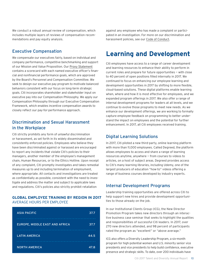We conduct a robust annual review of compensation, which includes multiple layers of reviews of compensation recommendations and pay equity analysis.

## Executive Compensation

We compensate our executives fairly, based on individual and company performance, competitive benchmarking and support of our Mission and Value Proposition. Our [Proxy Statement](http://www.citigroup.com/citi/investor/quarterly/2018/ar18p.pdf?ieNocache=285) contains a scorecard with each named executive officer's financial and nonfinancial performance goals, which are approved by the Board's Personnel and Compensation Committee. We seek to design our executive pay program to motivate balanced behaviors consistent with our focus on long-term strategic goals. Citi incorporates shareholder and stakeholder input on executive pay into our Compensation Philosophy. We apply our Compensation Philosophy through our Executive Compensation Framework, which enables incentive compensation awards to closely reflect our pay-for-performance approach.

## Discrimination and Sexual Harassment in the Workplace

Citi strictly prohibits any form of unlawful discrimination or harassment, as set forth in its widely disseminated and consistently enforced policies. Employees who believe they have been discriminated against or harassed are encouraged to report any incidents that violate Citi's policies to their managers, another member of the employee's management chain, Human Resources, or to the Ethics Hotline. Upon receipt of any complaint, Citi promptly investigates and takes remedial measures up to and including termination of employment, where appropriate. All contacts and investigations are treated as confidentially as possible, consistent with the need to investigate and address the matter and subject to applicable laws and regulations. Citi's policies also strictly prohibit retaliation

### **GLOBAL EMPLOYEE TRAINING BY REGION IN 2017**  AVERAGE HOURS PER EMPLOYEE

| <b>ASIA PACIFIC</b>            | 37.7 |
|--------------------------------|------|
|                                |      |
| EUROPE, MIDDLE EAST AND AFRICA | 37.7 |
|                                |      |
| <b>LATIN AMERICA</b>           | 44.5 |
|                                |      |
| <b>NORTH AMERICA</b>           | 47.8 |

against any employee who has made a complaint or participated in an investigation. For more on our discrimination and harassment policies, see our [Code of Conduct.](http://www.citigroup.com/citi/investor/data/codeconduct_en.pdf)

## **Learning and Development**

Citi employees have access to a range of career development and learning resources to enhance their ability to perform in current roles and prepare for future opportunities — with close to 40 percent of open positions filled internally in 2017. We continued to focus on enhancing our employee learning and development opportunities in 2017 by shifting to more flexible, cloud-based solutions. These digital platforms enable learning when, where and how it is most effective for employees, and we expanded program offerings in 2017. We also offer a range of internal development programs for leaders at all levels, and we continue to evolve those programs to meet new needs. As we enhance our development offerings, we are working to formally capture employee feedback on programming to better understand the impact on employees and the potential for further enhancement. In 2017, all Citi employees received training.

## Digital Learning Solutions

In 2017, Citi piloted a new third-party, online learning platform with more than 11,000 employees. Called Degreed, the platform allows employees to access and share a range of learning resources anytime, anywhere — from courses to videos to articles, on a host of subject areas. Degreed provides access to Citi's many learning libraries, including Udemy, one of the largest producers of education "how-to" videos offering a range of business courses developed by industry experts.

## Internal Development Programs

Leadership training opportunities are offered across Citi to help support new hires and provide development opportunities to those already on the job.

In our Institutional Clients Group (ICG), the New Director Promotion Program takes new directors through an interactive business case seminar that seeks to highlight the qualities and responsibilities of successful Citi leaders. In 2017, over 270 new directors attended, and 98 percent of participants rated the program as "excellent" or "above average."

ICG also offers a Diversity Leadership Program, a six-month program for high-potential women and U.S. minority senior vice presidents and vice presidents to help build confidence, executive presence and strategic skills. To date, over 200 individuals have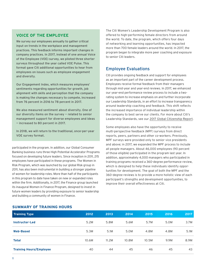## **VOICE OF THE EMPLOYEE**

We survey our employees annually to gather critical input on trends in the workplace and management practices. This feedback informs important changes in company practices. In 2017, instead of one annual Voice of the Employee (VOE) survey, we piloted three shorter surveys throughout the year called VOE Pulse. This format gave Citi additional opportunities to hear from employees on issues such as employee engagement and diversity.

Our Engagement Index, which measures employees' sentiments regarding opportunities for growth, job alignment with skills and perception that the company is making the changes necessary to compete, increased from 76 percent in 2016 to 78 percent in 2017.

We also measured sentiment about diversity. One of our diversity items on the survey — related to senior management support for diverse employees and ideas — increased to 80 percent in 2017.

In 2018, we will return to the traditional, once-per-year VOE survey format.

participated in the program. In addition, our Global Consumer Banking business runs three High Potential Accelerator Programs focused on developing future leaders. Since inception in 2011, 215 employees have participated in these programs. The Women in Risk Program, which was launched by our global Risk group in 2011, has also been instrumental in building a stronger pipeline of women for leadership roles. More than half of the participants in this program to date have taken on new or expanded roles within the firm. Additionally, in 2017, the Finance group launched its inaugural Women in Finance Program, designed to invest in future women leaders by providing exposure to senior leadership and building a community of women in Finance.

The Citi Women's Leadership Development Program is also offered to high-performing female directors from around the world. To date, the program, which offers four days of networking and learning opportunities, has impacted more than 700 female leaders around the world. In 2017, the program began to integrate more peer coaching and exposure to senior Citi leaders.

## Employee Evaluations

Citi provides ongoing feedback and support for employees as an important part of the career development process. Employees receive formal feedback from their managers through mid-year and year-end reviews. In 2017, we enhanced our year-end performance review process to include a tworating system to increase emphasis on and further incorporate our Leadership Standards, in an effort to increase transparency around leadership coaching and feedback. This shift reflects the increased importance of individual leadership within the company to best serve our clients. For more about Citi's Leadership Standards, see our [2017 Global Citizenship Report](http://www.citigroup.com/citi/about/citizenship/).

Some employees also have the opportunity to receive multi-perspective feedback (MPF) surveys from direct reports, peers, partners and other co-workers. Previously, MPF surveys were provided only to senior vice presidents and above; in 2017, we expanded the MPF process to include all people managers. About 46,000 employees (90 percent of those eligible) participated in the program last year. In addition, approximately 4,000 managers who participated in training programs received a 360-degree performance review, which is designed to help these individuals identify opportunities for development. The goal of both the MPF and the 360-degree reviews is to provide a more holistic view of each participant's strengths and development opportunities, to improve their overall effectiveness at Citi.

### **SUMMARY OF TRAINING HOURS**

| <b>Training Type</b>           | 2012  | 2013  | 2014  | 2015  | 2016 | 2017 |
|--------------------------------|-------|-------|-------|-------|------|------|
| Instructor-Led                 | 5.2M  | 5.8M  | 5.6M  | 5.7M  | 5.0M | 3.7M |
| <b>Web-Based</b>               | 5.3M  | 5.1M  | 5.0M  | 4.8M  | 4.8M | 5.1M |
| <b>Total</b>                   | 10.6M | 11.2M | 10.8M | 10.5M | 9.9M | 8.9M |
| <b>Training Hours/Employee</b> | 40    | 44    | 45    | 46    | 45   | 43   |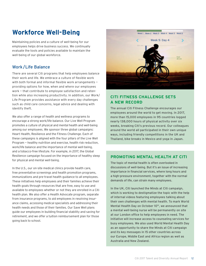## **Workforce Well-Being**

Maintaining policies and a culture of well-being for our employees helps drive business success. We continually evaluate the tools and policies available to maintain the well-being of our global workforce.

## Work/Life Balance

There are several Citi programs that help employees balance their work and life. We embrace a culture of flexible work with both formal and informal flexible work arrangements providing options for how, when and where our employees work — that contribute to employee satisfaction and retention while also increasing productivity. In addition, our Work/ Life Program provides assistance with every day challenges such as child care concerns, legal advice and dealing with identify theft.

We also offer a range of health and wellness programs to encourage a strong work/life balance. Our Live Well Program promotes a culture of physical and mental health and well-being among our employees. We sponsor three global campaigns: Heart Health, Resilience and the Fitness Challenge. Each of these campaigns is aligned with the four pillars of the Live Well Program — healthy nutrition and exercise, health risk reduction, work/life balance and the importance of mental well-being, and a tobacco-free lifestyle. For example, in 2017, the Global Resilience campaign focused on the importance of healthy sleep for physical and mental well-being.

In the U.S., our on-site medical clinics provide health care, free preventative screenings and health promotion programs, immunizations and pre-travel health guidance to all employees. These initiatives help employees and their families achieve their health goals through resources that are free, easy to use and available to employees whether or not they are enrolled in a Citi health plan. We also offer a Health Advocate program, separate from insurance programs, to aid employees in resolving insurance claims, accessing medical specialists and addressing their health needs and those of their families. Our Save Well plans guide our employees in building financial stability and saving for retirement, and we offer a tuition reimbursement plan for those going back to school.



## **CITI FITNESS CHALLENGE SETS A NEW RECORD**

The annual Citi Fitness Challenge encourages our employees around the world to get moving. In 2017, more than 15,000 employees in 95 countries logged nearly 138,000 hours of physical activity over six weeks, breaking Citi's previous record. Our colleagues around the world all participated in their own unique ways, including friendly competitions in the UK and Thailand, bike breaks in Mexico and yoga in Japan.

## **PROMOTING MENTAL HEALTH AT CITI**

The topic of mental health is often overlooked in discussions of well-being. But it's an issue of increasing importance in financial services, where long hours and a high-pressure environment, together with the normal demands of life, can strain many employees.

In the UK, Citi launched the Minds at Citi campaign, which is working to destigmatize the topic with the help of internal videos featuring employees talking about their own challenges with mental health. To mark World Mental Health Day on October 10<sup>th</sup>, we announced that a mental well-being nurse will be permanently on site at our London office to help employees in need. The initiative will increase access to counseling services for busy employees. We also used World Mental Health Day as an opportunity to share the Minds at Citi campaign and its key messages in 15 other countries across our Europe, Middle East and Africa region as well as Australia and New Zealand.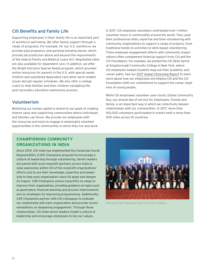## Citi Benefits and Family Life

Supporting employees in their family life is an important part of workforce well-being. We offer family support through a range of programs. For example, for our U.S. workforce, we provide paid pregnancy and parental bonding leaves, which provide job protection above and beyond the requirements of the federal Family and Medical Leave Act. Negotiated rates are also available for dependent care. In addition, we offer the Bright Horizons Special Needs program, which provides online resources for parents in the U.S. with special needs children and subsidized dependent care when work-related issues disrupt regular schedules. We also offer a college coach to help families and their children navigating the post-secondary education admissions process.

## Volunteerism

Mobilizing our human capital is central to our goals of creating shared value and supporting communities where individuals and families can thrive. We provide our employees with the resources and tools to engage in meaningful volunteer opportunities in the communities in which they live and work. In 2017, Citi employee volunteers contributed over 1 million volunteer hours in communities around the world. They used their professional skills, expertise and time volunteering with community organizations to support a range of projects, from traditional hands-on activities to skills-based volunteering. These employee engagement efforts with community organizations often complement financial support from Citi and the Citi Foundation. For example, we piloted the Citi Skills Sprint at Kingsborough Community College in New York, where Citi employees helped students map out their academic and career paths. See our [2017 Global Citizenship Report](http://www.citigroup.com/citi/about/citizenship/) to learn more about how our employees are helping Citi and the Citi Foundation fulfill our commitment to support the career readiness of young people.

While Citi employees volunteer year-round, Global Community Day, our annual day of service for employees, friends and family, is an important way in which we collectively deepen relationships with our communities. In 2017, more than 100,000 volunteers participated in events held in more than 500 cities across 91 countries.

## **CHAMPIONING COMMUNITY ORGANIZATIONS IN INDIA**

Since 2015, Citi India has implemented the Corporate Social Responsibility (CSR) Champions program to encourage a culture of leadership through volunteering. Senior leaders are paired with local nonprofit partners across India to raise awareness within Citi of the nonprofit organizations' efforts and to use their knowledge, expertise and leadership to help each organization reach its goals and deepen its impact. CSR Champions advise nonprofits on steps to improve their organizations, providing guidance on topics such as governance, financial planning and process improvement, and on strategies for improving programming. Additionally, CSR Champions partner with Citi colleagues to evaluate our relationship with each organization and provide recommendations on deepening engagement. Through these relationships, Citi India senior leaders model a culture of leadership and encourage employees to live our values.



*Citi India CSR Champions with Citi senior leaders*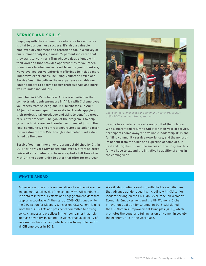## **SERVICE AND SKILLS**

Engaging with the communities where we live and work is vital to our business success. It's also a valuable employee development and retention tool. In a survey of our summer analysts, almost 75 percent indicated that they want to work for a firm whose values aligned with their own and that provides opportunities to volunteer. In response to what we've heard from our junior bankers, we've evolved our volunteerism offerings to include more immersive experiences, including Volunteer Africa and Service Year. We believe these experiences enable our junior bankers to become better professionals and more well-rounded individuals.

Launched in 2016, Volunteer Africa is an initiative that connects microentrepreneurs in Africa with Citi employee volunteers from select global ICG businesses. In 2017, 24 junior bankers spent five weeks in Uganda applying their professional knowledge and skills to benefit a group of 16 entrepreneurs. The goal of the program is to help grow the businesses and create much-needed jobs in the local community. The entrepreneurs are also able to pitch for investment from Citi through a dedicated fund established by the bank.

Service Year, an innovative program established by Citi in 2016 for New York City-based employees, offers selected university graduates who have accepted a full-time offer with Citi the opportunity to defer that offer for one-year



*Citi volunteers, employees and community partners, as part of the 2017 Volunteer Africa program*

to work in a strategic role at a nonprofit of their choice. With a guaranteed return to Citi after their year of service, participants come away with valuable leadership skills and fulfilling community service experiences, and the nonprofits benefit from the skills and expertise of some of our best and brightest. Given the success of the program thus far, we hope to expand the initiative to additional cities in the coming year.

### **WHAT'S AHEAD**

Achieving our goals on talent and diversity will require active engagement at all levels of the company. We will continue to use data to inform our efforts and engage stakeholders that keep us accountable. At the start of 2018, Citi signed on to the CEO Action for Diversity & Inclusion (CEO Action), joining more than 350 CEOs and presidents committed to driving policy changes and practices in their companies that help increase diversity, including the widespread availability of unconscious bias training, which is now being rolled out to all Citi employees in 2018.

We will also continue working with the UN on initiatives that advance gender equality, including with Citi senior leaders serving on the UN High Level Panel on Women's Economic Empowerment and the UN Women's Global Innovation Coalition for Change. In 2018, Citi signed the UN Women's Empowerment Principles (WEP), which promotes the equal and full inclusion of women in society, the economy and in the workplace.